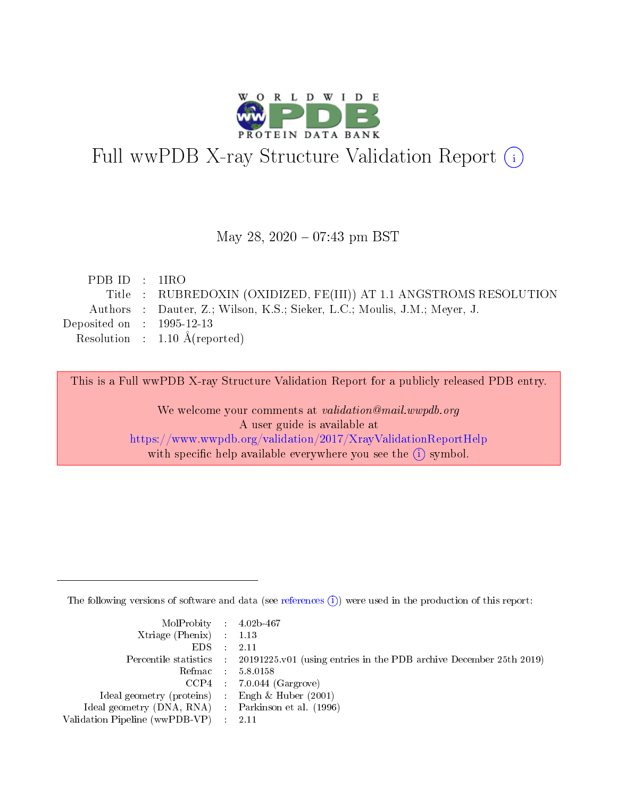

# Full wwPDB X-ray Structure Validation Report (i)

#### May 28,  $2020 - 07:43$  pm BST

| PDB ID : $1\text{R}$ O      |                                                                           |
|-----------------------------|---------------------------------------------------------------------------|
|                             | Title : RUBREDOXIN (OXIDIZED, FE(III)) AT 1.1 ANGSTROMS RESOLUTION        |
|                             | Authors : Dauter, Z.; Wilson, K.S.; Sieker, L.C.; Moulis, J.M.; Meyer, J. |
| Deposited on : $1995-12-13$ |                                                                           |
|                             | Resolution : $1.10 \text{ Å}$ (reported)                                  |
|                             |                                                                           |

This is a Full wwPDB X-ray Structure Validation Report for a publicly released PDB entry.

We welcome your comments at validation@mail.wwpdb.org A user guide is available at <https://www.wwpdb.org/validation/2017/XrayValidationReportHelp> with specific help available everywhere you see the  $(i)$  symbol.

The following versions of software and data (see [references](https://www.wwpdb.org/validation/2017/XrayValidationReportHelp#references)  $(i)$ ) were used in the production of this report:

| $MolProbability$ 4.02b-467                          |                                                                                            |
|-----------------------------------------------------|--------------------------------------------------------------------------------------------|
| Xtriage (Phenix) $: 1.13$                           |                                                                                            |
| $EDS$ :                                             | -2.11                                                                                      |
|                                                     | Percentile statistics : 20191225.v01 (using entries in the PDB archive December 25th 2019) |
|                                                     | Refmac : 5.8.0158                                                                          |
|                                                     | $CCP4$ : 7.0.044 (Gargrove)                                                                |
| Ideal geometry (proteins) : Engh $\&$ Huber (2001)  |                                                                                            |
| Ideal geometry (DNA, RNA) : Parkinson et al. (1996) |                                                                                            |
| Validation Pipeline (wwPDB-VP)                      | -2.11                                                                                      |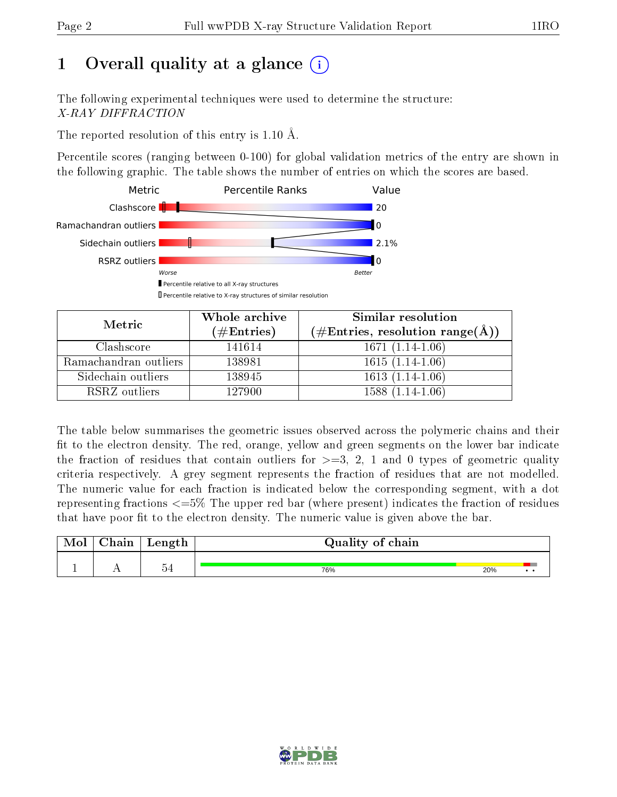# 1 [O](https://www.wwpdb.org/validation/2017/XrayValidationReportHelp#overall_quality)verall quality at a glance  $(i)$

The following experimental techniques were used to determine the structure: X-RAY DIFFRACTION

The reported resolution of this entry is 1.10 Å.

Percentile scores (ranging between 0-100) for global validation metrics of the entry are shown in the following graphic. The table shows the number of entries on which the scores are based.



| Metric                | Whole archive        | Similar resolution                                 |
|-----------------------|----------------------|----------------------------------------------------|
|                       | $(\#\text{Entries})$ | $(\#\text{Entries}, \text{resolution range}(\AA))$ |
| Clashscore            | 141614               | $1671(1.14-1.06)$                                  |
| Ramachandran outliers | 138981               | $1615(1.14-1.06)$                                  |
| Sidechain outliers    | 138945               | $1613(1.14-1.06)$                                  |
| RSRZ outliers         | 127900               | $1588(1.14-1.06)$                                  |

The table below summarises the geometric issues observed across the polymeric chains and their fit to the electron density. The red, orange, yellow and green segments on the lower bar indicate the fraction of residues that contain outliers for  $\geq=3$ , 2, 1 and 0 types of geometric quality criteria respectively. A grey segment represents the fraction of residues that are not modelled. The numeric value for each fraction is indicated below the corresponding segment, with a dot representing fractions  $\epsilon = 5\%$  The upper red bar (where present) indicates the fraction of residues that have poor fit to the electron density. The numeric value is given above the bar.

| $\gamma$ hain | Length                | Quality of chain |     |  |
|---------------|-----------------------|------------------|-----|--|
|               | $\tilde{\phantom{a}}$ | 76%              | 20% |  |

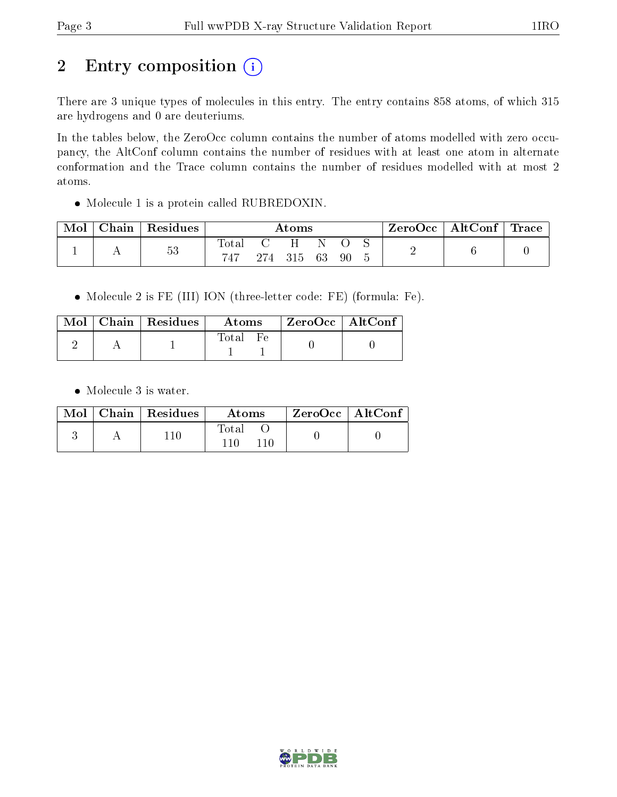## 2 Entry composition (i)

There are 3 unique types of molecules in this entry. The entry contains 858 atoms, of which 315 are hydrogens and 0 are deuteriums.

In the tables below, the ZeroOcc column contains the number of atoms modelled with zero occupancy, the AltConf column contains the number of residues with at least one atom in alternate conformation and the Trace column contains the number of residues modelled with at most 2 atoms.

Molecule 1 is a protein called RUBREDOXIN.

| Mol | Chain   Residues | Atoms              |  |               |  | $\mid$ ZeroOcc $\mid$ AltConf $\mid$ Trace |  |  |  |
|-----|------------------|--------------------|--|---------------|--|--------------------------------------------|--|--|--|
|     | 53               | $\rm Total$<br>747 |  | 274 315 63 90 |  |                                            |  |  |  |

Molecule 2 is FE (III) ION (three-letter code: FE) (formula: Fe).

|  | $Mol$   Chain   Residues | Atoms        | ZeroOcc   AltConf |  |
|--|--------------------------|--------------|-------------------|--|
|  |                          | <b>Total</b> |                   |  |

• Molecule 3 is water.

|  | Mol   Chain   Residues | Atoms | $^{\prime}$ ZeroOcc   AltConf $_{1}$ |  |
|--|------------------------|-------|--------------------------------------|--|
|  | 11 በ                   | Total |                                      |  |

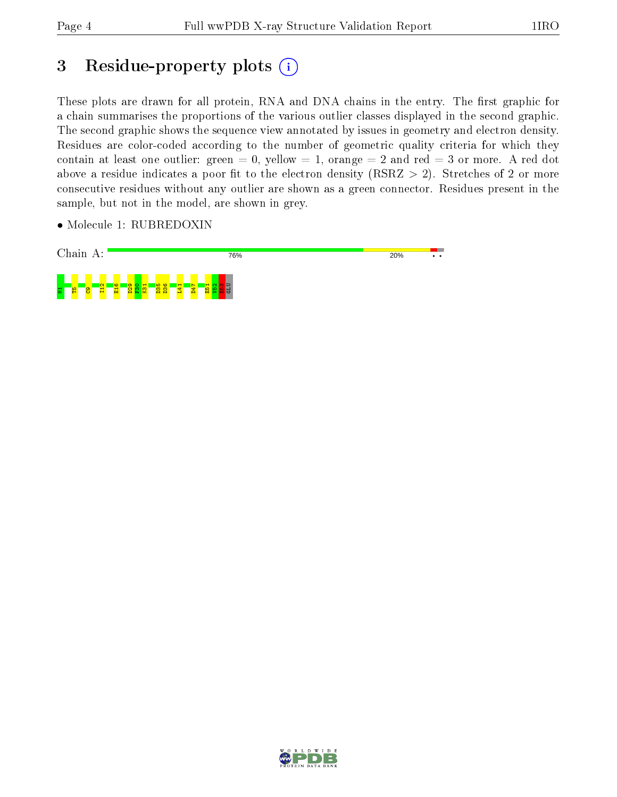## 3 Residue-property plots (i)

These plots are drawn for all protein, RNA and DNA chains in the entry. The first graphic for a chain summarises the proportions of the various outlier classes displayed in the second graphic. The second graphic shows the sequence view annotated by issues in geometry and electron density. Residues are color-coded according to the number of geometric quality criteria for which they contain at least one outlier: green  $= 0$ , yellow  $= 1$ , orange  $= 2$  and red  $= 3$  or more. A red dot above a residue indicates a poor fit to the electron density (RSRZ  $> 2$ ). Stretches of 2 or more consecutive residues without any outlier are shown as a green connector. Residues present in the sample, but not in the model, are shown in grey.

• Molecule 1: RUBREDOXIN



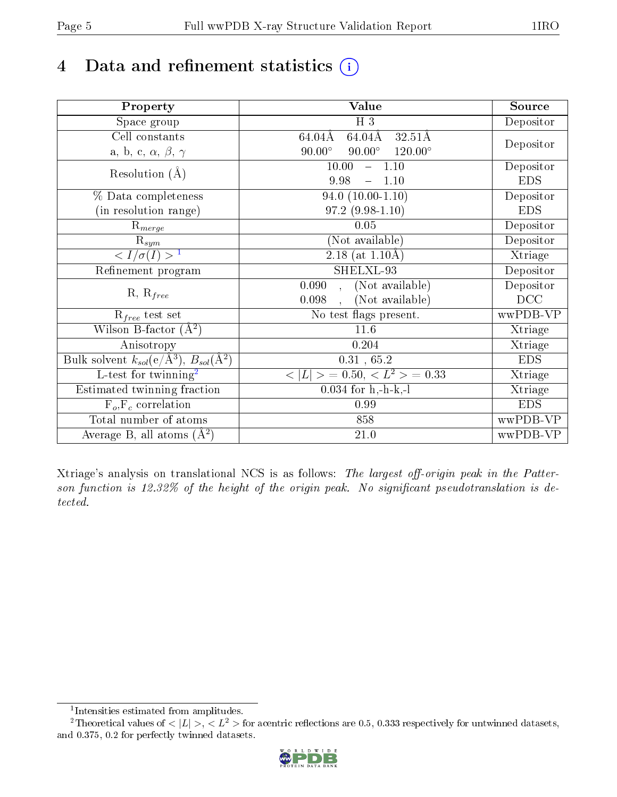# 4 Data and refinement statistics  $(i)$

| Property                                                             | Value                                                    | Source     |
|----------------------------------------------------------------------|----------------------------------------------------------|------------|
| Space group                                                          | $H_3$                                                    | Depositor  |
| Cell constants                                                       | $64.04\text{\AA}$<br>$32.51\text{\AA}$<br>64.04Å         |            |
| a, b, c, $\alpha$ , $\beta$ , $\gamma$                               | $90.00^\circ$<br>$90.00^\circ$<br>$120.00^{\circ}$       | Depositor  |
| Resolution $(A)$                                                     | $-1.10$<br>10.00                                         | Depositor  |
|                                                                      | 9.98<br>1.10                                             | <b>EDS</b> |
| % Data completeness                                                  | $94.0(10.00-1.10)$                                       | Depositor  |
| (in resolution range)                                                | $97.2(9.98-1.10)$                                        | <b>EDS</b> |
| $R_{merge}$                                                          | 0.05                                                     | Depositor  |
| $\mathrm{R}_{sym}$                                                   | (Not available)                                          | Depositor  |
| $\langle I/\sigma(I) \rangle$ <sup>1</sup>                           | 2.18 (at $1.10\text{\AA}$ )                              | Xtriage    |
| Refinement program                                                   | SHELXL-93                                                | Depositor  |
|                                                                      | (Not available)<br>0.090<br>$\ddot{\phantom{0}}$         | Depositor  |
| $R, R_{free}$                                                        | (Not available)<br>0.098<br>$\ddot{\phantom{0}}$         | DCC        |
| $\mathcal{R}_{free}$ test set                                        | No test flags present.                                   | wwPDB-VP   |
| Wilson B-factor $(A^2)$                                              | 11.6                                                     | Xtriage    |
| Anisotropy                                                           | 0.204                                                    | Xtriage    |
| Bulk solvent $k_{sol}(e/\mathring{A}^3)$ , $B_{sol}(\mathring{A}^2)$ | $0.31\,$ , $65.2\,$                                      | <b>EDS</b> |
| L-test for twinning <sup>2</sup>                                     | $\langle  L  \rangle = 0.50, \langle L^2 \rangle = 0.33$ | Xtriage    |
| Estimated twinning fraction                                          | $0.034$ for h,-h-k,-l                                    | Xtriage    |
| $F_o, F_c$ correlation                                               | 0.99                                                     | <b>EDS</b> |
| Total number of atoms                                                | 858                                                      | wwPDB-VP   |
| Average B, all atoms $(A^2)$                                         | 21.0                                                     | wwPDB-VP   |

Xtriage's analysis on translational NCS is as follows: The largest off-origin peak in the Patterson function is  $12.32\%$  of the height of the origin peak. No significant pseudotranslation is detected.

<sup>&</sup>lt;sup>2</sup>Theoretical values of  $\langle |L| \rangle$ ,  $\langle L^2 \rangle$  for acentric reflections are 0.5, 0.333 respectively for untwinned datasets, and 0.375, 0.2 for perfectly twinned datasets.



<span id="page-4-1"></span><span id="page-4-0"></span><sup>1</sup> Intensities estimated from amplitudes.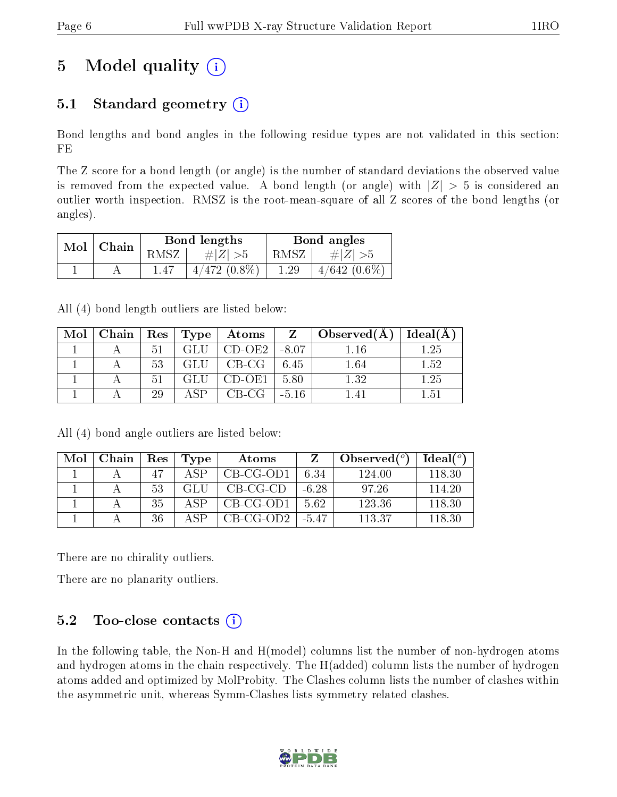# 5 Model quality  $(i)$

### 5.1 Standard geometry  $(i)$

Bond lengths and bond angles in the following residue types are not validated in this section: FE

The Z score for a bond length (or angle) is the number of standard deviations the observed value is removed from the expected value. A bond length (or angle) with  $|Z| > 5$  is considered an outlier worth inspection. RMSZ is the root-mean-square of all Z scores of the bond lengths (or angles).

| Mol | Chain |      | Bond lengths   | Bond angles |                |  |
|-----|-------|------|----------------|-------------|----------------|--|
|     |       | RMSZ | # $ Z  > 5$    | RMSZ        | $\# Z  > 5$    |  |
|     |       |      | $4/472(0.8\%)$ | 1.29        | $4/642$ (0.6%) |  |

All (4) bond length outliers are listed below:

| Mol | Chain   Res   Type |    |             | $\bold{Atoms}$ | $\mathbf{Z}$ | $\Box$ Observed(A) | Ideal(A) |
|-----|--------------------|----|-------------|----------------|--------------|--------------------|----------|
|     |                    | 51 | GL I        | CD-OE2         | $-8.07$      | l.16               | 1.25     |
|     |                    | 53 |             | $CB-CG$   6.45 |              | 1.64               | 1.52     |
|     |                    | 51 |             | $CD-OE1$       | 5.80         | 1.32               | 1.25     |
|     |                    | 29 | $\Delta$ SP | $CB-CG$        | $-5.16$      |                    | 1.51     |

All (4) bond angle outliers are listed below:

| Mol | Chain | Res | Type           | Atoms       |         | Observed $(°)$ | Ideal (°) |
|-----|-------|-----|----------------|-------------|---------|----------------|-----------|
|     |       | 47  | A SP           | $CB-CG-OD1$ | 6.34    | 124.00         | 118.30    |
|     |       | 53  | -GLU           | $CB-CG-CD$  | $-6.28$ | 97.26          | 114.20    |
|     |       | 35  | $\triangle$ SP | $CB-CG-OD1$ | 5.62    | 123.36         | 118.30    |
|     |       | 36  | $\Delta$ SP    | $CB-CG-OD2$ | $-5.47$ | 113.37         | 118.30    |

There are no chirality outliers.

There are no planarity outliers.

### 5.2 Too-close contacts  $(i)$

In the following table, the Non-H and H(model) columns list the number of non-hydrogen atoms and hydrogen atoms in the chain respectively. The H(added) column lists the number of hydrogen atoms added and optimized by MolProbity. The Clashes column lists the number of clashes within the asymmetric unit, whereas Symm-Clashes lists symmetry related clashes.

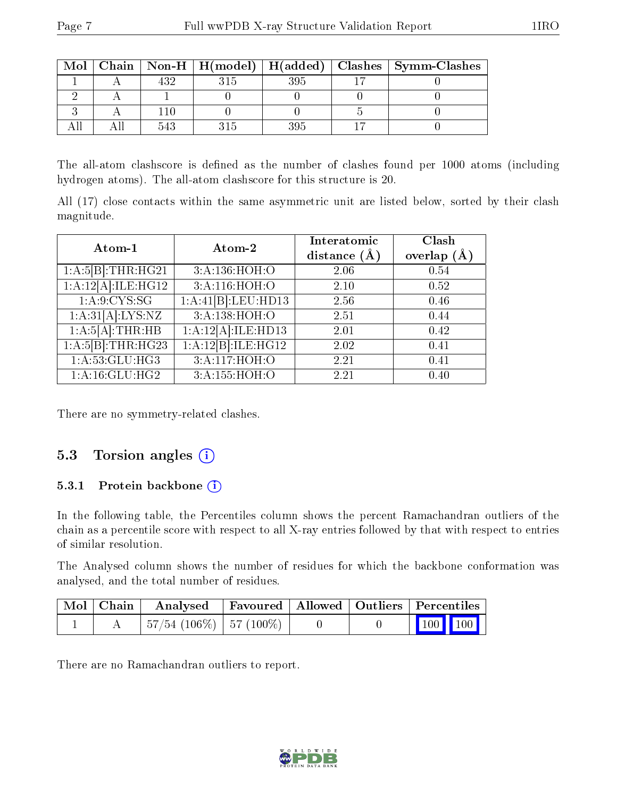| Mol |  |     | Chain   Non-H   H(model)   H(added)   Clashes   Symm-Clashes |
|-----|--|-----|--------------------------------------------------------------|
|     |  | 395 |                                                              |
|     |  |     |                                                              |
|     |  |     |                                                              |
|     |  |     |                                                              |

The all-atom clashscore is defined as the number of clashes found per 1000 atoms (including hydrogen atoms). The all-atom clashscore for this structure is 20.

All (17) close contacts within the same asymmetric unit are listed below, sorted by their clash magnitude.

| Atom-1             | Atom-2                     | Interatomic      | Clash         |  |
|--------------------|----------------------------|------------------|---------------|--|
|                    |                            | distance $(\AA)$ | overlap $(A)$ |  |
| 1:A:5[B]:THR:HG21  | 3:A:136:HOH:O              | 2.06             | 0.54          |  |
| 1:A:12[A]:ILE:HG12 | $3:A:\overline{116:HOH:O}$ | 2.10             | 0.52          |  |
| 1: A:9:CYS:SG      | 1:A:41[B]:LEU:HD13         | 2.56             | 0.46          |  |
| 1:A:31[A]:LYS:NZ   | 3:A:138:HOH:O              | 2.51             | 0.44          |  |
| 1:A:5[A]:THR:HB    | 1:A:12[A]:ILE:HD13         | 2.01             | 0.42          |  |
| 1:A:5[B]:THR:HG23  | 1:A:12[B]:ILE:HG12         | 2.02             | 0.41          |  |
| 1: A: 53: GLU: HG3 | 3:A:117:HOH:O              | 2.21             | 0.41          |  |
| 1: A:16: GLU: HG2  | 3:A:155:HOH:O              | 2.21             | 0.40          |  |

There are no symmetry-related clashes.

### 5.3 Torsion angles  $(i)$

#### 5.3.1 Protein backbone (i)

In the following table, the Percentiles column shows the percent Ramachandran outliers of the chain as a percentile score with respect to all X-ray entries followed by that with respect to entries of similar resolution.

The Analysed column shows the number of residues for which the backbone conformation was analysed, and the total number of residues.

| $\mid$ Mol $\mid$ Chain $\mid$ | Analysed Favoured   Allowed   Outliers   Percentiles |  |                                                              |  |
|--------------------------------|------------------------------------------------------|--|--------------------------------------------------------------|--|
|                                | $+57/54$ (106\%) $-57$ (100\%) $-$                   |  | $\begin{array}{ c c c c c }\n\hline\n100 & 100\n\end{array}$ |  |

There are no Ramachandran outliers to report.

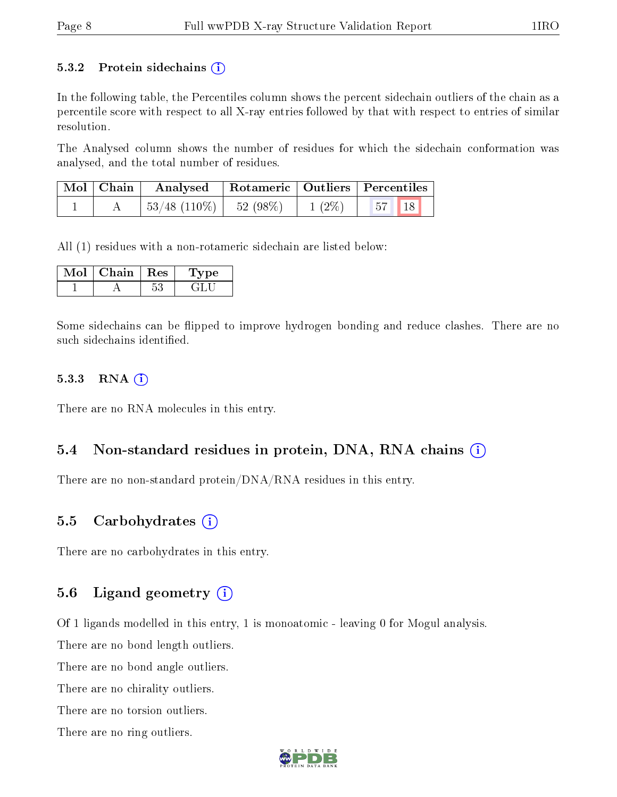#### 5.3.2 Protein sidechains  $(i)$

In the following table, the Percentiles column shows the percent sidechain outliers of the chain as a percentile score with respect to all X-ray entries followed by that with respect to entries of similar resolution.

The Analysed column shows the number of residues for which the sidechain conformation was analysed, and the total number of residues.

|  | Mol   Chain   Analysed   Rotameric   Outliers   Percentiles |          |                                                                  |  |
|--|-------------------------------------------------------------|----------|------------------------------------------------------------------|--|
|  | $\mid 53/48 \; (110\%) \mid 52 \; (98\%)$                   | $1(2\%)$ | $\begin{array}{ c c c c c } \hline 57 & 18 \\\hline \end{array}$ |  |

All (1) residues with a non-rotameric sidechain are listed below:

| Chain. | Res | <b>Type</b> |
|--------|-----|-------------|
|        |     |             |

Some sidechains can be flipped to improve hydrogen bonding and reduce clashes. There are no such sidechains identified.

#### 5.3.3 RNA (i)

There are no RNA molecules in this entry.

#### 5.4 Non-standard residues in protein, DNA, RNA chains (i)

There are no non-standard protein/DNA/RNA residues in this entry.

#### 5.5 Carbohydrates (i)

There are no carbohydrates in this entry.

#### 5.6 Ligand geometry  $(i)$

Of 1 ligands modelled in this entry, 1 is monoatomic - leaving 0 for Mogul analysis.

There are no bond length outliers.

There are no bond angle outliers.

There are no chirality outliers.

There are no torsion outliers.

There are no ring outliers.

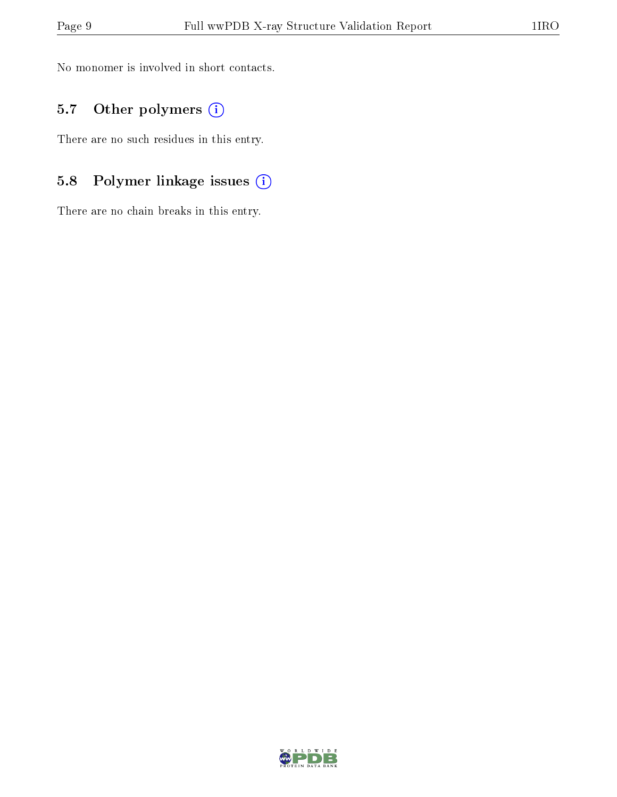No monomer is involved in short contacts.

### 5.7 [O](https://www.wwpdb.org/validation/2017/XrayValidationReportHelp#nonstandard_residues_and_ligands)ther polymers (i)

There are no such residues in this entry.

### 5.8 Polymer linkage issues (i)

There are no chain breaks in this entry.